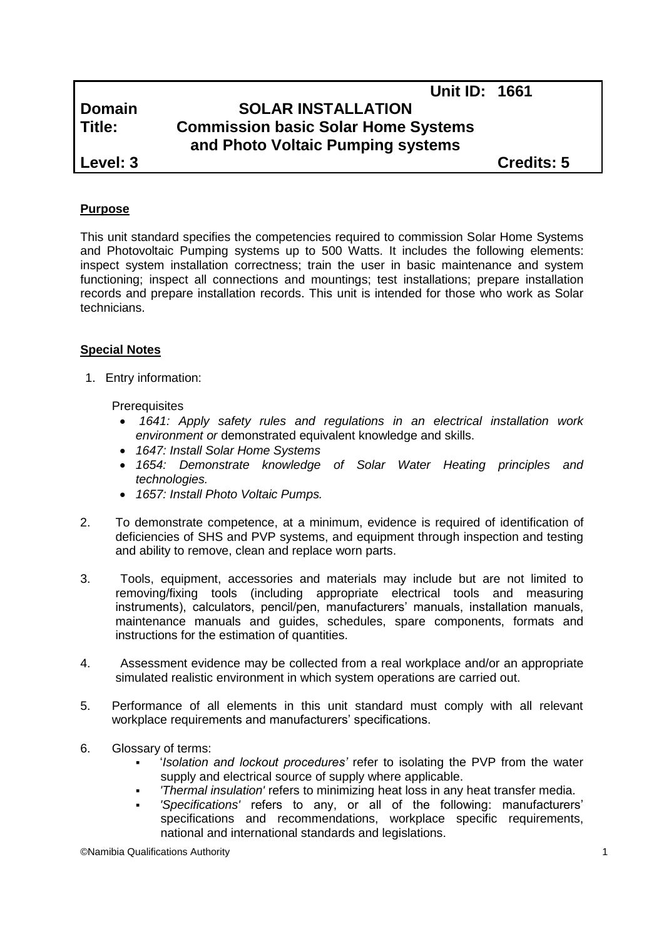|               | <b>Unit ID: 1661</b>                                                            |                   |  |
|---------------|---------------------------------------------------------------------------------|-------------------|--|
| <b>Domain</b> | <b>SOLAR INSTALLATION</b>                                                       |                   |  |
| Title:        | <b>Commission basic Solar Home Systems</b><br>and Photo Voltaic Pumping systems |                   |  |
|               |                                                                                 |                   |  |
| Level: 3      |                                                                                 | <b>Credits: 5</b> |  |
|               |                                                                                 |                   |  |

### **Purpose**

This unit standard specifies the competencies required to commission Solar Home Systems and Photovoltaic Pumping systems up to 500 Watts. It includes the following elements: inspect system installation correctness; train the user in basic maintenance and system functioning; inspect all connections and mountings; test installations; prepare installation records and prepare installation records. This unit is intended for those who work as Solar technicians.

#### **Special Notes**

1. Entry information:

**Prerequisites** 

- *1641: Apply safety rules and regulations in an electrical installation work environment or* demonstrated equivalent knowledge and skills.
- *1647: Install Solar Home Systems*
- *1654: Demonstrate knowledge of Solar Water Heating principles and technologies.*
- *1657: Install Photo Voltaic Pumps.*
- 2. To demonstrate competence, at a minimum, evidence is required of identification of deficiencies of SHS and PVP systems, and equipment through inspection and testing and ability to remove, clean and replace worn parts.
- 3. Tools, equipment, accessories and materials may include but are not limited to removing/fixing tools (including appropriate electrical tools and measuring instruments), calculators, pencil/pen, manufacturers' manuals, installation manuals, maintenance manuals and guides, schedules, spare components, formats and instructions for the estimation of quantities.
- 4. Assessment evidence may be collected from a real workplace and/or an appropriate simulated realistic environment in which system operations are carried out.
- 5. Performance of all elements in this unit standard must comply with all relevant workplace requirements and manufacturers' specifications.
- 6. Glossary of terms:
	- '*Isolation and lockout procedures'* refer to isolating the PVP from the water supply and electrical source of supply where applicable.
	- *'Thermal insulation'* refers to minimizing heat loss in any heat transfer media.
	- *'Specifications'* refers to any, or all of the following: manufacturers' specifications and recommendations, workplace specific requirements, national and international standards and legislations.

©Namibia Qualifications Authority 1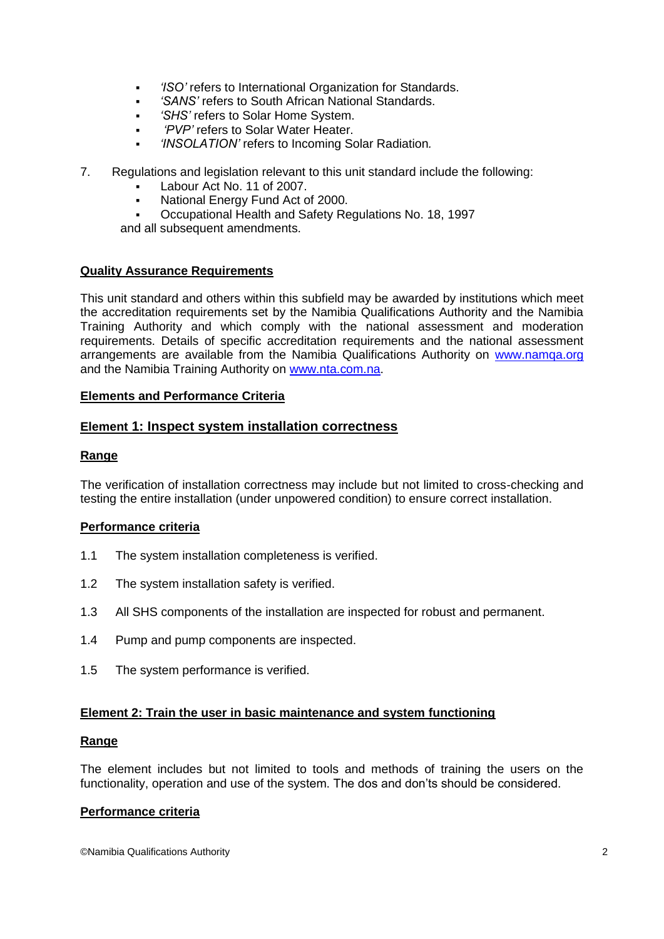- *'ISO'* refers to International Organization for Standards.
- *'SANS'* refers to South African National Standards.
- *'SHS'* refers to Solar Home System.
- *'PVP'* refers to Solar Water Heater.
- *'INSOLATION'* refers to Incoming Solar Radiation*.*
- 7. Regulations and legislation relevant to this unit standard include the following:
	- Labour Act No. 11 of 2007.
	- National Energy Fund Act of 2000.
	- Occupational Health and Safety Regulations No. 18, 1997

and all subsequent amendments.

## **Quality Assurance Requirements**

This unit standard and others within this subfield may be awarded by institutions which meet the accreditation requirements set by the Namibia Qualifications Authority and the Namibia Training Authority and which comply with the national assessment and moderation requirements. Details of specific accreditation requirements and the national assessment arrangements are available from the Namibia Qualifications Authority on [www.namqa.org](http://www.namqa.org/) and the Namibia Training Authority on [www.nta.com.na.](http://www.nta.com.na/)

### **Elements and Performance Criteria**

## **Element 1: Inspect system installation correctness**

## **Range**

The verification of installation correctness may include but not limited to cross-checking and testing the entire installation (under unpowered condition) to ensure correct installation.

### **Performance criteria**

- 1.1 The system installation completeness is verified.
- 1.2 The system installation safety is verified.
- 1.3 All SHS components of the installation are inspected for robust and permanent.
- 1.4 Pump and pump components are inspected.
- 1.5 The system performance is verified.

### **Element 2: Train the user in basic maintenance and system functioning**

### **Range**

The element includes but not limited to tools and methods of training the users on the functionality, operation and use of the system. The dos and don'ts should be considered.

### **Performance criteria**

©Namibia Qualifications Authority 2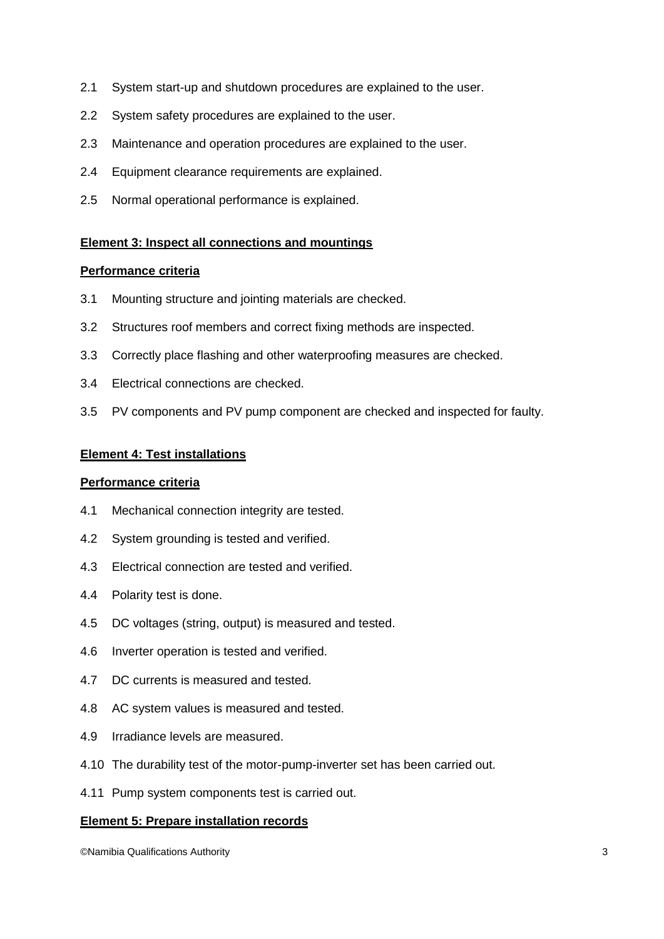- 2.1 System start-up and shutdown procedures are explained to the user.
- 2.2 System safety procedures are explained to the user.
- 2.3 Maintenance and operation procedures are explained to the user.
- 2.4 Equipment clearance requirements are explained.
- 2.5 Normal operational performance is explained.

### **Element 3: Inspect all connections and mountings**

### **Performance criteria**

- 3.1 Mounting structure and jointing materials are checked.
- 3.2 Structures roof members and correct fixing methods are inspected.
- 3.3 Correctly place flashing and other waterproofing measures are checked.
- 3.4 Electrical connections are checked.
- 3.5 PV components and PV pump component are checked and inspected for faulty.

## **Element 4: Test installations**

### **Performance criteria**

- 4.1 Mechanical connection integrity are tested.
- 4.2 System grounding is tested and verified.
- 4.3 Electrical connection are tested and verified.
- 4.4 Polarity test is done.
- 4.5 DC voltages (string, output) is measured and tested.
- 4.6 Inverter operation is tested and verified.
- 4.7 DC currents is measured and tested.
- 4.8 AC system values is measured and tested.
- 4.9 Irradiance levels are measured.
- 4.10 The durability test of the motor-pump-inverter set has been carried out.
- 4.11 Pump system components test is carried out.

### **Element 5: Prepare installation records**

©Namibia Qualifications Authority 3